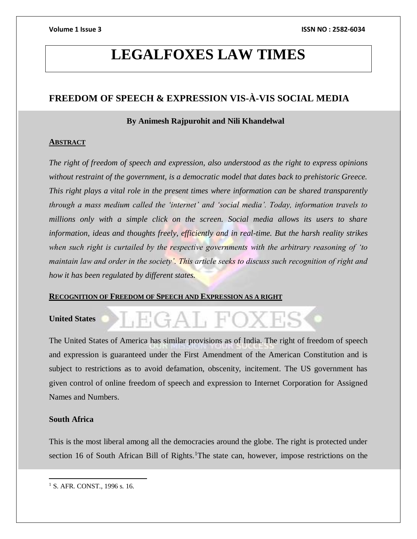# **LEGALFOXES LAW TIMES**

# **FREEDOM OF SPEECH & EXPRESSION VIS-À-VIS SOCIAL MEDIA**

# **By Animesh Rajpurohit and Nili Khandelwal**

# **ABSTRACT**

*The right of freedom of speech and expression, also understood as the right to express opinions without restraint of the government, is a democratic model that dates back to prehistoric Greece. This right plays a vital role in the present times where information can be shared transparently through a mass medium called the 'internet' and 'social media'. Today, information travels to millions only with a simple click on the screen. Social media allows its users to share information, ideas and thoughts freely, efficiently and in real-time. But the harsh reality strikes when such right is curtailed by the respective governments with the arbitrary reasoning of 'to maintain law and order in the society'. This article seeks to discuss such recognition of right and how it has been regulated by different states.*

# **RECOGNITION OF FREEDOM OF SPEECH AND EXPRESSION AS A RIGHT**

# **United States**

The United States of America has similar provisions as of India. The right of freedom of speech and expression is guaranteed under the First Amendment of the American Constitution and is subject to restrictions as to avoid defamation, obscenity, incitement. The US government has given control of online freedom of speech and expression to Internet Corporation for Assigned Names and Numbers.

.EGAL FO

# **South Africa**

This is the most liberal among all the democracies around the globe. The right is protected under section 16 of South African Bill of Rights.<sup>1</sup>The state can, however, impose restrictions on the

 $\overline{a}$ <sup>1</sup> S. AFR. CONST., 1996 s. 16.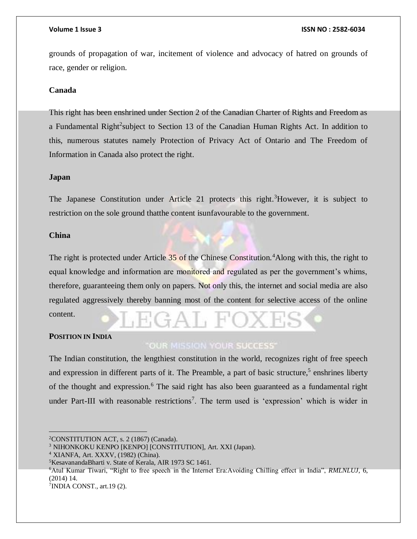grounds of propagation of war, incitement of violence and advocacy of hatred on grounds of race, gender or religion.

### **Canada**

This right has been enshrined under Section 2 of the Canadian Charter of Rights and Freedom as a Fundamental Right<sup>2</sup>subject to Section 13 of the Canadian Human Rights Act. In addition to this, numerous statutes namely Protection of Privacy Act of Ontario and The Freedom of Information in Canada also protect the right.

### **Japan**

The Japanese Constitution under Article 21 protects this right.<sup>3</sup>However, it is subject to restriction on the sole ground thatthe content isunfavourable to the government.

# **China**

The right is protected under Article 35 of the Chinese Constitution.<sup>4</sup>Along with this, the right to equal knowledge and information are monitored and regulated as per the government's whims, therefore, guaranteeing them only on papers. Not only this, the internet and social media are also regulated aggressively thereby banning most of the content for selective access of the online content.

# **POSITION IN INDIA**

 $\overline{a}$ 

# **OUR MISSION YOUR SUCCESS'**

The Indian constitution, the lengthiest constitution in the world, recognizes right of free speech and expression in different parts of it. The Preamble, a part of basic structure,<sup>5</sup> enshrines liberty of the thought and expression.<sup>6</sup> The said right has also been guaranteed as a fundamental right under Part-III with reasonable restrictions<sup>7</sup>. The term used is 'expression' which is wider in

<sup>6</sup>Atul Kumar Tiwari, "Right to free speech in the Internet Era:Avoiding Chilling effect in India", *RMLNLUJ*, 6, (2014) 14.

7 INDIA CONST., art.19 (2).

<sup>2</sup>CONSTITUTION ACT, s. 2 (1867) (Canada).

<sup>3</sup> NIHONKOKU KENPO [KENPO] [CONSTITUTION], Art. XXI (Japan).

<sup>4</sup> XIANFA, Art. XXXV, (1982) (China).

<sup>5</sup>KesavanandaBharti v. State of Kerala, AIR 1973 SC 1461.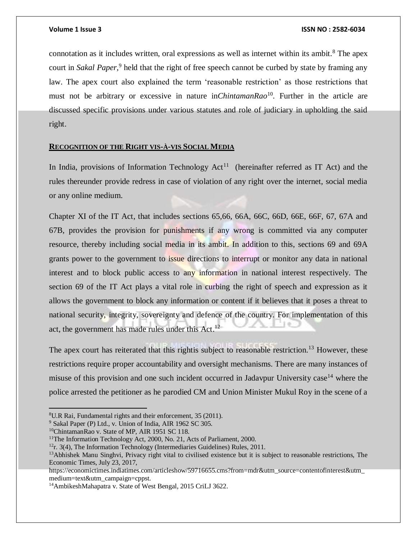connotation as it includes written, oral expressions as well as internet within its ambit.<sup>8</sup> The apex court in *Sakal Paper*, 9 held that the right of free speech cannot be curbed by state by framing any law. The apex court also explained the term 'reasonable restriction' as those restrictions that must not be arbitrary or excessive in nature in*ChintamanRao*<sup>10</sup>. Further in the article are discussed specific provisions under various statutes and role of judiciary in upholding the said right.

# **RECOGNITION OF THE RIGHT VIS-À-VIS SOCIAL MEDIA**

In India, provisions of Information Technology  $Act<sup>11</sup>$  (hereinafter referred as IT Act) and the rules thereunder provide redress in case of violation of any right over the internet, social media or any online medium.

Chapter XI of the IT Act, that includes sections 65,66, 66A, 66C, 66D, 66E, 66F, 67, 67A and 67B, provides the provision for punishments if any wrong is committed via any computer resource, thereby including social media in its ambit. In addition to this, sections 69 and 69A grants power to the government to issue directions to interrupt or monitor any data in national interest and to block public access to any information in national interest respectively. The section 69 of the IT Act plays a vital role in curbing the right of speech and expression as it allows the government to block any information or content if it believes that it poses a threat to national security, integrity, sovereignty and defence of the country. For implementation of this act, the government has made rules under this  $Act.$ <sup>12</sup>

The apex court has reiterated that this rightis subject to reasonable restriction.<sup>13</sup> However, these restrictions require proper accountability and oversight mechanisms. There are many instances of misuse of this provision and one such incident occurred in Jadavpur University case<sup>14</sup> where the police arrested the petitioner as he parodied CM and Union Minister Mukul Roy in the scene of a

<sup>10</sup>ChintamanRao v. State of MP, AIR 1951 SC 118.

<sup>8</sup>U.R Rai, Fundamental rights and their enforcement, 35 (2011).

<sup>9</sup> Sakal Paper (P) Ltd., v. Union of India, AIR 1962 SC 305.

<sup>&</sup>lt;sup>11</sup>The Information Technology Act, 2000, No. 21, Acts of Parliament, 2000.

 $12r$ . 3(4), The Information Technology (Intermediaries Guidelines) Rules, 2011.

<sup>&</sup>lt;sup>13</sup>Abhishek Manu Singhvi, Privacy right vital to civilised existence but it is subject to reasonable restrictions, The Economic Times, July 23, 2017,

https://economictimes.indiatimes.com/articleshow/59716655.cms?from=mdr&utm\_source=contentofinterest&utm\_ medium=text&utm\_campaign=cppst.

<sup>14</sup>AmbikeshMahapatra v. State of West Bengal, 2015 CriLJ 3622.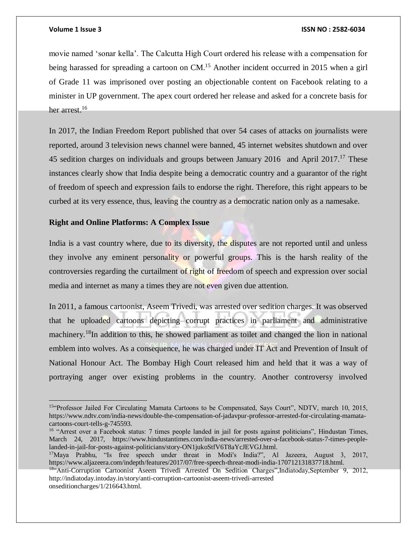$\overline{a}$ 

### **Volume 1 Issue 3 ISSN NO : 2582-6034**

movie named 'sonar kella'. The Calcutta High Court ordered his release with a compensation for being harassed for spreading a cartoon on CM.<sup>15</sup> Another incident occurred in 2015 when a girl of Grade 11 was imprisoned over posting an objectionable content on Facebook relating to a minister in UP government. The apex court ordered her release and asked for a concrete basis for her arrest.<sup>16</sup>

In 2017, the Indian Freedom Report published that over 54 cases of attacks on journalists were reported, around 3 television news channel were banned, 45 internet websites shutdown and over 45 sedition charges on individuals and groups between January 2016 and April 2017.<sup>17</sup> These instances clearly show that India despite being a democratic country and a guarantor of the right of freedom of speech and expression fails to endorse the right. Therefore, this right appears to be curbed at its very essence, thus, leaving the country as a democratic nation only as a namesake.

# **Right and Online Platforms: A Complex Issue**

India is a vast country where, due to its diversity, the disputes are not reported until and unless they involve any eminent personality or powerful groups. This is the harsh reality of the controversies regarding the curtailment of right of freedom of speech and expression over social media and internet as many a times they are not even given due attention.

In 2011, a famous cartoonist, Aseem Trivedi, was arrested over sedition charges. It was observed that he uploaded cartoons depicting corrupt practices in parliament and administrative machinery.<sup>18</sup>In addition to this, he showed parliament as toilet and changed the lion in national emblem into wolves. As a consequence, he was charged under IT Act and Prevention of Insult of National Honour Act. The Bombay High Court released him and held that it was a way of portraying anger over existing problems in the country. Another controversy involved

<sup>15</sup>"Professor Jailed For Circulating Mamata Cartoons to be Compensated, Says Court", NDTV, march 10, 2015, https://www.ndtv.com/india-news/double-the-compensation-of-jadavpur-professor-arrested-for-circulating-mamatacartoons-court-tells-g-745593.

<sup>&</sup>lt;sup>16</sup> "Arrest over a Facebook status: 7 times people landed in jail for posts against politicians", Hindustan Times, March 24, 2017, https://www.hindustantimes.com/india-news/arrested-over-a-facebook-status-7-times-peoplelanded-in-jail-for-posts-against-politicians/story-ON1jukoStfV6T8aYcJEVGJ.html.

<sup>17</sup>Maya Prabhu, "Is free speech under threat in Modi's India?", Al Jazeera, August 3, 2017, https://www.aljazeera.com/indepth/features/2017/07/free-speech-threat-modi-india-170712131837718.html.

<sup>&</sup>lt;sup>18"</sup>Anti-Corruption Cartoonist Aseem Trivedi Arrested On Sedition Charges", Indiatoday, September 9, 2012, http://indiatoday.intoday.in/story/anti-corruption-cartoonist-aseem-trivedi-arrested onseditioncharges/1/216643.html.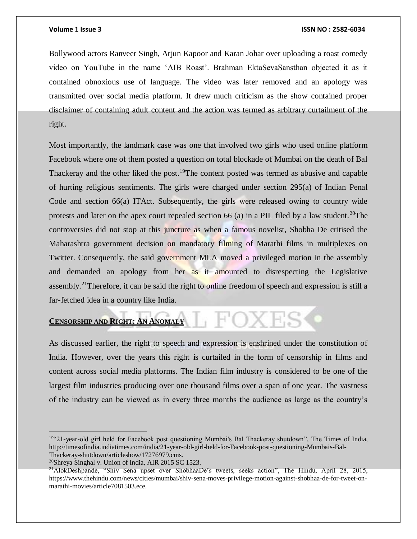Bollywood actors Ranveer Singh, Arjun Kapoor and Karan Johar over uploading a roast comedy video on YouTube in the name 'AIB Roast'. Brahman EktaSevaSansthan objected it as it contained obnoxious use of language. The video was later removed and an apology was transmitted over social media platform. It drew much criticism as the show contained proper disclaimer of containing adult content and the action was termed as arbitrary curtailment of the right.

Most importantly, the landmark case was one that involved two girls who used online platform Facebook where one of them posted a question on total blockade of Mumbai on the death of Bal Thackeray and the other liked the post.<sup>19</sup>The content posted was termed as abusive and capable of hurting religious sentiments. The girls were charged under section 295(a) of Indian Penal Code and section 66(a) ITAct. Subsequently, the girls were released owing to country wide protests and later on the apex court repealed section 66 (a) in a PIL filed by a law student.<sup>20</sup>The controversies did not stop at this juncture as when a famous novelist, Shobha De critised the Maharashtra government decision on mandatory filming of Marathi films in multiplexes on Twitter. Consequently, the said government MLA moved a privileged motion in the assembly and demanded an apology from her as it amounted to disrespecting the Legislative assembly.<sup>21</sup>Therefore, it can be said the right to online freedom of speech and expression is still a far-fetched idea in a country like India.

**EXERGISHIP AND RIGHT: AN ANOMALY** 

As discussed earlier, the right to speech and expression is enshrined under the constitution of India. However, over the years this right is curtailed in the form of censorship in films and content across social media platforms. The Indian film industry is considered to be one of the largest film industries producing over one thousand films over a span of one year. The vastness of the industry can be viewed as in every three months the audience as large as the country's

<sup>19</sup>"21-year-old girl held for Facebook post questioning Mumbai's Bal Thackeray shutdown", The Times of India, http://timesofindia.indiatimes.com/india/21-year-old-girl-held-for-Facebook-post-questioning-Mumbais-Bal-Thackeray-shutdown/articleshow/17276979.cms.

<sup>20</sup>Shreya Singhal v. Union of India, AIR 2015 SC 1523.

<sup>&</sup>lt;sup>21</sup>AlokDeshpande, "Shiv Sena upset over ShobhaaDe's tweets, seeks action", The Hindu, April 28, 2015, https://www.thehindu.com/news/cities/mumbai/shiv-sena-moves-privilege-motion-against-shobhaa-de-for-tweet-onmarathi-movies/article7081503.ece.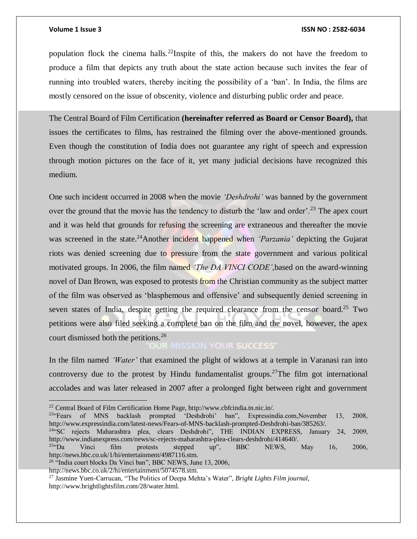population flock the cinema halls.<sup>22</sup>Inspite of this, the makers do not have the freedom to produce a film that depicts any truth about the state action because such invites the fear of running into troubled waters, thereby inciting the possibility of a 'ban'. In India, the films are mostly censored on the issue of obscenity, violence and disturbing public order and peace.

The Central Board of Film Certification **(hereinafter referred as Board or Censor Board),** that issues the certificates to films, has restrained the filming over the above-mentioned grounds. Even though the constitution of India does not guarantee any right of speech and expression through motion pictures on the face of it, yet many judicial decisions have recognized this medium.

One such incident occurred in 2008 when the movie *'Deshdrohi'* was banned by the government over the ground that the movie has the tendency to disturb the 'law and order'.<sup>23</sup> The apex court and it was held that grounds for refusing the screening are extraneous and thereafter the movie was screened in the state.<sup>24</sup>Another incident happened when *'Parzania'* depicting the Gujarat riots was denied screening due to pressure from the state government and various political motivated groups. In 2006, the film named *'The DA VINCI CODE',*based on the award-winning novel of Dan Brown, was exposed to protests from the Christian community as the subject matter of the film was observed as 'blasphemous and offensive' and subsequently denied screening in seven states of India, despite getting the required clearance from the censor board.<sup>25</sup> Two petitions were also filed seeking a complete ban on the film and the novel, however, the apex court dismissed both the petitions.<sup>26</sup><br>COUR SUCCESS

In the film named *'Water'* that examined the plight of widows at a temple in Varanasi ran into controversy due to the protest by Hindu fundamentalist groups.<sup>27</sup>The film got international accolades and was later released in 2007 after a prolonged fight between right and government

<sup>23"</sup>Fears of MNS backlash prompted 'Deshdrohi' ban", Expressindia.com,November 13, 2008, http://www.expressindia.com/latest-news/Fears-of-MNS-backlash-prompted-Deshdrohi-ban/385263/.

<sup>24</sup>"SC rejects Maharashtra plea, clears Deshdrohi", THE INDIAN EXPRESS, January 24, 2009, http://www.indianexpress.com/news/sc-rejects-maharashtra-plea-clears-deshdrohi/414640/.<br><sup>25</sup>the Vinci film protests stepped up", BBC NEWS,

 $^{25}$ <sup>25</sup> $\cdot$ Da Vinci film protests stepped up", BBC NEWS, May 16, 2006, http://news.bbc.co.uk/1/hi/entertainment/4987116.stm.

http://news.bbc.co.uk/2/hi/entertainment/5074578.stm.

<sup>22</sup> Central Board of Film Certification Home Page, http://www.cbfcindia.tn.nic.in/.

<sup>&</sup>lt;sup>26</sup> "India court blocks Da Vinci ban", BBC NEWS, June 13, 2006,

<sup>27</sup> Jasmine Yuen-Carrucan, "The Politics of Deepa Mehta's Water", *Bright Lights Film journal*, http://www.brightlightsfilm.com/28/water.html.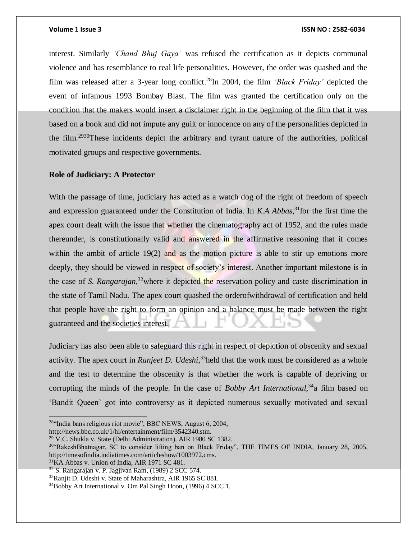interest. Similarly *'Chand Bhuj Gaya'* was refused the certification as it depicts communal violence and has resemblance to real life personalities. However, the order was quashed and the film was released after a 3-year long conflict.<sup>28</sup>In 2004, the film *'Black Friday'* depicted the event of infamous 1993 Bombay Blast. The film was granted the certification only on the condition that the makers would insert a disclaimer right in the beginning of the film that it was based on a book and did not impute any guilt or innocence on any of the personalities depicted in the film.<sup>2930</sup>These incidents depict the arbitrary and tyrant nature of the authorities, political motivated groups and respective governments.

### **Role of Judiciary: A Protector**

With the passage of time, judiciary has acted as a watch dog of the right of freedom of speech and expression guaranteed under the Constitution of India. In *K.A Abbas*, <sup>31</sup>for the first time the apex court dealt with the issue that whether the cinematography act of 1952, and the rules made thereunder, is constitutionally valid and answered in the affirmative reasoning that it comes within the ambit of article 19(2) and as the motion picture is able to stir up emotions more deeply, they should be viewed in respect of society's interest. Another important milestone is in the case of *S. Rangarajan*, <sup>32</sup>where it depicted the reservation policy and caste discrimination in the state of Tamil Nadu. The apex court quashed the orderofwithdrawal of certification and held that people have the right to form an opinion and a balance must be made between the right guaranteed and the societies interest.

Judiciary has also been able to safeguard this right in respect of depiction of obscenity and sexual activity. The apex court in *Ranjeet D. Udeshi*, <sup>33</sup>held that the work must be considered as a whole and the test to determine the obscenity is that whether the work is capable of depriving or corrupting the minds of the people. In the case of *Bobby Art International*,<sup>34</sup>a film based on 'Bandit Queen' got into controversy as it depicted numerous sexually motivated and sexual

http://news.bbc.co.uk/1/hi/entertainment/film/3542340.stm.

<sup>31</sup>KA Abbas v. Union of India, AIR 1971 SC 481.

<sup>28</sup>"India bans religious riot movie", BBC NEWS, August 6, 2004,

<sup>29</sup> V.C. Shukla v. State (Delhi Administration), AIR 1980 SC 1382.

<sup>30</sup>"RakeshBhatnagar, SC to consider lifting ban on Black Friday", THE TIMES OF INDIA, January 28, 2005, http://timesofindia.indiatimes.com/articleshow/1003972.cms.

 $32$  S. Rangarajan v. P. Jagjivan Ram, (1989) 2 SCC 574.

<sup>33</sup>Ranjit D. Udeshi v. State of Maharashtra, AIR 1965 SC 881.

<sup>34</sup>Bobby Art International v. Om Pal Singh Hoon, (1996) 4 SCC 1.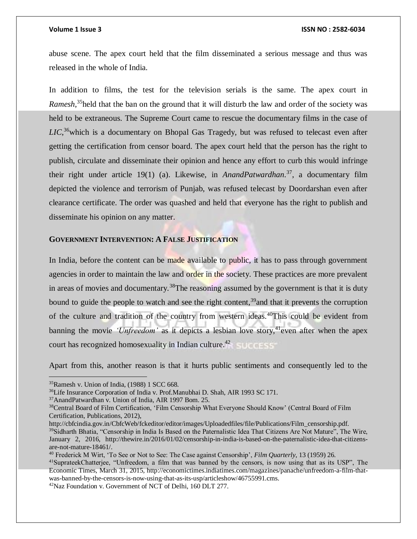abuse scene. The apex court held that the film disseminated a serious message and thus was released in the whole of India.

In addition to films, the test for the television serials is the same. The apex court in *Ramesh*, <sup>35</sup>held that the ban on the ground that it will disturb the law and order of the society was held to be extraneous. The Supreme Court came to rescue the documentary films in the case of LIC,<sup>36</sup>which is a documentary on Bhopal Gas Tragedy, but was refused to telecast even after getting the certification from censor board. The apex court held that the person has the right to publish, circulate and disseminate their opinion and hence any effort to curb this would infringe their right under article 19(1) (a). Likewise, in *AnandPatwardhan*. <sup>37</sup>, a documentary film depicted the violence and terrorism of Punjab, was refused telecast by Doordarshan even after clearance certificate. The order was quashed and held that everyone has the right to publish and disseminate his opinion on any matter.

### **GOVERNMENT INTERVENTION: A FALSE JUSTIFICATION**

In India, before the content can be made available to public, it has to pass through government agencies in order to maintain the law and order in the society. These practices are more prevalent in areas of movies and documentary.<sup>38</sup>The reasoning assumed by the government is that it is duty bound to guide the people to watch and see the right content,<sup>39</sup> and that it prevents the corruption of the culture and tradition of the country from western ideas.<sup>40</sup>This could be evident from banning the movie *'Unfreedom'* as it depicts a lesbian love story,<sup>41</sup>even after when the apex court has recognized homosexuality in Indian culture.<sup>42</sup>

Apart from this, another reason is that it hurts public sentiments and consequently led to the

<sup>35</sup>Ramesh v. Union of India, (1988) 1 SCC 668.

<sup>36</sup>Life Insurance Corporation of India v. Prof.Manubhai D. Shah, AIR 1993 SC 171.

<sup>37</sup>AnandPatwardhan v. Union of India, AIR 1997 Bom. 25.

<sup>38</sup>Central Board of Film Certification, 'Film Censorship What Everyone Should Know' (Central Board of Film Certification, Publications, 2012),

http://cbfcindia.gov.in/CbfcWeb/fckeditor/editor/images/Uploadedfiles/file/Publications/Film\_censorship.pdf. <sup>39</sup>Sidharth Bhatia, "Censorship in India Is Based on the Paternalistic Idea That Citizens Are Not Mature", The Wire, January 2, 2016, http://thewire.in/2016/01/02/censorship-in-india-is-based-on-the-paternalistic-idea-that-citizensare-not-mature-18461/.

<sup>40</sup> Frederick M Wirt, 'To See or Not to See: The Case against Censorship', *Film Quarterly*, 13 (1959) 26.

<sup>41</sup>SuprateekChatterjee, "Unfreedom, a film that was banned by the censors, is now using that as its USP", The Economic Times, March 31, 2015, http://economictimes.indiatimes.com/magazines/panache/unfreedom-a-film-thatwas-banned-by-the-censors-is-now-using-that-as-its-usp/articleshow/46755991.cms.

<sup>42</sup>Naz Foundation v. Government of NCT of Delhi, 160 DLT 277.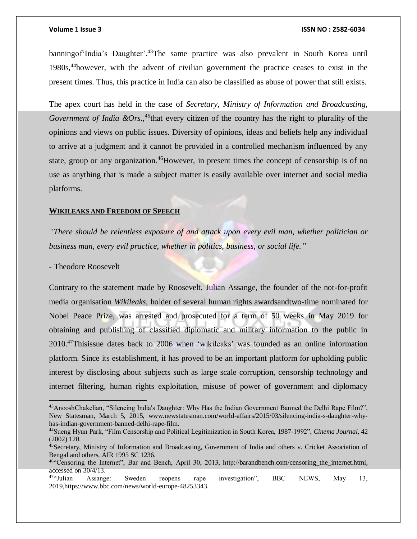banningof'India's Daughter'. <sup>43</sup>The same practice was also prevalent in South Korea until 1980s,<sup>44</sup>however, with the advent of civilian government the practice ceases to exist in the present times. Thus, this practice in India can also be classified as abuse of power that still exists.

The apex court has held in the case of *Secretary, Ministry of Information and Broadcasting,*  Government of India  $\&Ors$ , <sup>45</sup>that every citizen of the country has the right to plurality of the opinions and views on public issues. Diversity of opinions, ideas and beliefs help any individual to arrive at a judgment and it cannot be provided in a controlled mechanism influenced by any state, group or any organization.<sup>46</sup>However, in present times the concept of censorship is of no use as anything that is made a subject matter is easily available over internet and social media platforms.

### **WIKILEAKS AND FREEDOM OF SPEECH**

*"There should be relentless exposure of and attack upon every evil man, whether politician or business man, every evil practice, whether in politics, business, or social life."*

- Theodore Roosevelt

 $\overline{a}$ 

Contrary to the statement made by Roosevelt, Julian Assange, the founder of the not-for-profit media organisation *Wikileaks,* holder of several human rights awardsandtwo-time nominated for Nobel Peace Prize, was arrested and prosecuted for a term of 50 weeks in May 2019 for obtaining and publishing of classified diplomatic and military information to the public in 2010. <sup>47</sup>Thisissue dates back to 2006 when 'wikileaks' was founded as an online information platform. Since its establishment, it has proved to be an important platform for upholding public interest by disclosing about subjects such as large scale corruption, censorship technology and internet filtering, human rights exploitation, misuse of power of government and diplomacy

<sup>43</sup>AnooshChakelian, "Silencing India's Daughter: Why Has the Indian Government Banned the Delhi Rape Film?", New Statesman, March 5, 2015, www.newstatesman.com/world-affairs/2015/03/silencing-india-s-daughter-whyhas-indian-government-banned-delhi-rape-film.

<sup>44</sup>Sueng Hyun Park, "Film Censorship and Political Legitimization in South Korea, 1987-1992", *Cinema Journal*, 42 (2002) 120.

<sup>45</sup>Secretary, Ministry of Information and Broadcasting, Government of India and others v. Cricket Association of Bengal and others, AIR 1995 SC 1236.

<sup>46</sup>"Censoring the Internet", Bar and Bench, April 30, 2013, http://barandbench.com/censoring\_the\_internet.html, accessed on 30/4/13.

<sup>47</sup>"Julian Assange: Sweden reopens rape investigation", BBC NEWS, May 13, 2019,https://www.bbc.com/news/world-europe-48253343.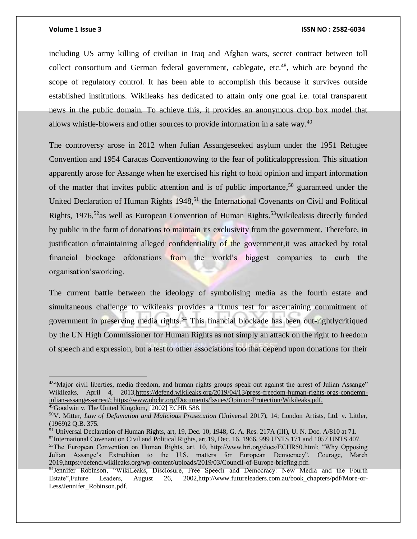including US army killing of civilian in Iraq and Afghan wars, secret contract between toll collect consortium and German federal government, cablegate, etc.<sup>48</sup>, which are beyond the scope of regulatory control. It has been able to accomplish this because it survives outside established institutions. Wikileaks has dedicated to attain only one goal i.e. total transparent news in the public domain. To achieve this, it provides an anonymous drop box model that allows whistle-blowers and other sources to provide information in a safe way.<sup>49</sup>

The controversy arose in 2012 when Julian Assangeseeked asylum under the 1951 Refugee Convention and 1954 Caracas Conventionowing to the fear of politicaloppression. This situation apparently arose for Assange when he exercised his right to hold opinion and impart information of the matter that invites public attention and is of public importance,<sup>50</sup> guaranteed under the United Declaration of Human Rights 1948,<sup>51</sup> the International Covenants on Civil and Political Rights, 1976,<sup>52</sup>as well as European Convention of Human Rights.<sup>53</sup>Wikileaksis directly funded by public in the form of donations to maintain its exclusivity from the government. Therefore, in justification of maintaining alleged confidentiality of the government, it was attacked by total financial blockage ofdonations from the world's biggest companies to curb the organisation'sworking.

The current battle between the ideology of symbolising media as the fourth estate and simultaneous challenge to wikileaks provides a litmus test for ascertaining commitment of government in preserving media rights.<sup>54</sup> This financial blockade has been out-rightlycritiqued by the UN High Commissioner for Human Rights as not simply an attack on the right to freedom of speech and expression, but a test to other associations too that depend upon donations for their

 $\overline{a}$ 

<sup>52</sup>International Covenant on Civil and Political Rights, art.19, Dec. 16, 1966, 999 UNTS 171 and 1057 UNTS 407.

<sup>48&</sup>quot;Major civil liberties, media freedom, and human rights groups speak out against the arrest of Julian Assange" Wikileaks, April 4, 2013, https://defend.wikileaks.org/2019/04/13/press-freedom-human-rights-orgs-condemn[julian-assanges-arrest/;](https://defend.wikileaks.org/2019/04/13/press-freedom-human-rights-orgs-condemn-julian-assanges-arrest/) [https://www.ohchr.org/Documents/Issues/Opinion/Protection/Wikileaks.pdf.](https://www.ohchr.org/Documents/Issues/Opinion/Protection/Wikileaks.pdf)

<sup>&</sup>lt;sup>49</sup>Goodwin v. The United Kingdom, [2002] ECHR 588.

<sup>50</sup>V. Mitter, *Law of Defamation and Malicious Prosecution* (Universal 2017), 14; London Artists, Ltd. v. Littler, (1969)2 Q.B. 375.

<sup>51</sup> Universal Declaration of Human Rights, art, 19, Dec. 10, 1948, G. A. Res. 217A (III), U. N. Doc. A/810 at 71.

<sup>53</sup>The European Convention on Human Rights, art. 10, http://www.hri.org/docs/ECHR50.html; "Why Opposing Julian Assange's Extradition to the U.S. matters for European Democracy", Courage, March 201[9,https://defend.wikileaks.org/wp-content/uploads/2019/03/Council-of-Europe-briefing.pdf.](https://defend.wikileaks.org/wp-content/uploads/2019/03/Council-of-Europe-briefing.pdf)

<sup>54</sup>Jennifer Robinson, "WikiLeaks, Disclosure, Free Speech and Democracy: New Media and the Fourth Estate",Future Leaders, August 26, 2002,http://www.futureleaders.com.au/book\_chapters/pdf/More-or-Less/Jennifer\_Robinson.pdf.